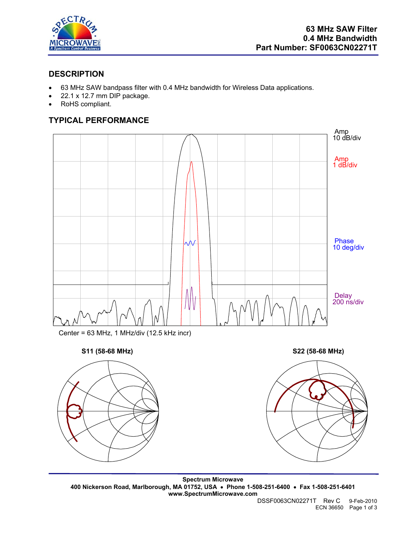

## **DESCRIPTION**

- 63 MHz SAW bandpass filter with 0.4 MHz bandwidth for Wireless Data applications.
- 22.1 x 12.7 mm DIP package.
- RoHS compliant.

# **TYPICAL PERFORMANCE**



**Spectrum Microwave 400 Nickerson Road, Marlborough, MA 01752, USA** • **Phone 1-508-251-6400** • **Fax 1-508-251-6401 www.SpectrumMicrowave.com** 

DSSF0063CN02271T Rev C 9-Feb-2010 ECN 36650 Page 1 of 3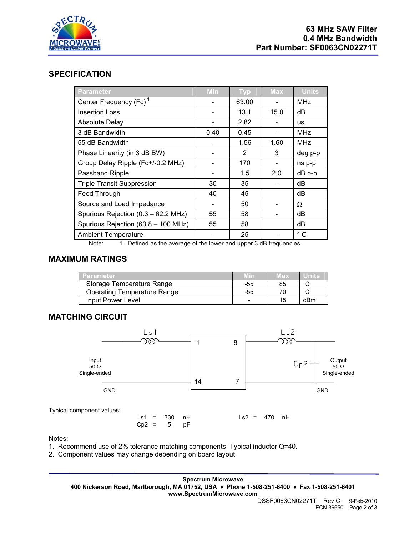

#### **SPECIFICATION**

| <b>Parameter</b>                    | <b>Min</b> | <b>Typ</b>    | <b>Max</b> | <b>Units</b> |
|-------------------------------------|------------|---------------|------------|--------------|
| Center Frequency (Fc) <sup>1</sup>  |            | 63.00         |            | <b>MHz</b>   |
| <b>Insertion Loss</b>               |            | 13.1          | 15.0       | dB           |
| <b>Absolute Delay</b>               |            | 2.82          |            | <b>us</b>    |
| 3 dB Bandwidth                      | 0.40       | 0.45          |            | <b>MHz</b>   |
| 55 dB Bandwidth                     |            | 1.56          | 1.60       | <b>MHz</b>   |
| Phase Linearity (in 3 dB BW)        |            | $\mathcal{P}$ | 3          | deg p-p      |
| Group Delay Ripple (Fc+/-0.2 MHz)   |            | 170           |            | ns p-p       |
| Passband Ripple                     |            | 1.5           | 2.0        | dB p-p       |
| <b>Triple Transit Suppression</b>   | 30         | 35            |            | dB           |
| Feed Through                        | 40         | 45            |            | dB           |
| Source and Load Impedance           |            | 50            |            | Ω            |
| Spurious Rejection (0.3 - 62.2 MHz) | 55         | 58            |            | dB           |
| Spurious Rejection (63.8 - 100 MHz) | 55         | 58            |            | dB           |
| <b>Ambient Temperature</b>          |            | 25            |            | $^{\circ}$ C |

Note: 1. Defined as the average of the lower and upper 3 dB frequencies.

### **MAXIMUM RATINGS**

| 'arameter                          |     | 188 |        |
|------------------------------------|-----|-----|--------|
| Storage Temperature Range          | -55 | 85  | $\sim$ |
| <b>Operating Temperature Range</b> | -55 |     |        |
| Input Power Level                  |     |     | dBm    |

## **MATCHING CIRCUIT**



Notes:

1. Recommend use of 2% tolerance matching components. Typical inductor Q=40.

2. Component values may change depending on board layout.

**Spectrum Microwave 400 Nickerson Road, Marlborough, MA 01752, USA** • **Phone 1-508-251-6400** • **Fax 1-508-251-6401 www.SpectrumMicrowave.com**